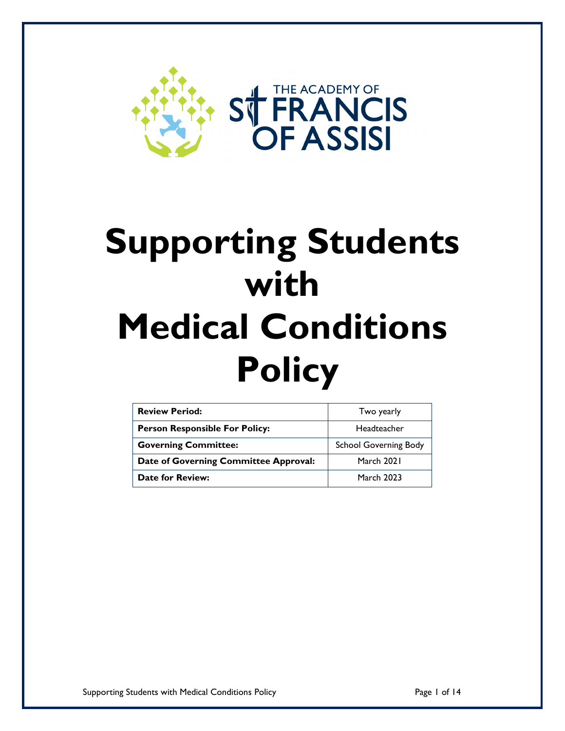

# **Supporting Students with Medical Conditions Policy**

| <b>Review Period:</b>                 | Two yearly                   |  |  |
|---------------------------------------|------------------------------|--|--|
| <b>Person Responsible For Policy:</b> | Headteacher                  |  |  |
| <b>Governing Committee:</b>           | <b>School Governing Body</b> |  |  |
| Date of Governing Committee Approval: | March 2021                   |  |  |
| <b>Date for Review:</b>               | <b>March 2023</b>            |  |  |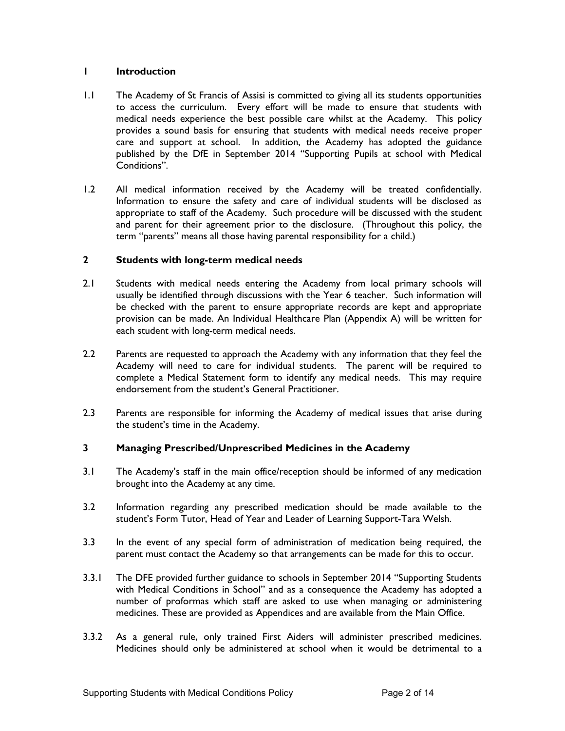## **1 Introduction**

- 1.1 The Academy of St Francis of Assisi is committed to giving all its students opportunities to access the curriculum. Every effort will be made to ensure that students with medical needs experience the best possible care whilst at the Academy. This policy provides a sound basis for ensuring that students with medical needs receive proper care and support at school. In addition, the Academy has adopted the guidance published by the DfE in September 2014 "Supporting Pupils at school with Medical Conditions".
- 1.2 All medical information received by the Academy will be treated confidentially. Information to ensure the safety and care of individual students will be disclosed as appropriate to staff of the Academy. Such procedure will be discussed with the student and parent for their agreement prior to the disclosure. (Throughout this policy, the term "parents" means all those having parental responsibility for a child.)

## **2 Students with long-term medical needs**

- 2.1 Students with medical needs entering the Academy from local primary schools will usually be identified through discussions with the Year 6 teacher. Such information will be checked with the parent to ensure appropriate records are kept and appropriate provision can be made. An Individual Healthcare Plan (Appendix A) will be written for each student with long-term medical needs.
- 2.2 Parents are requested to approach the Academy with any information that they feel the Academy will need to care for individual students. The parent will be required to complete a Medical Statement form to identify any medical needs. This may require endorsement from the student's General Practitioner.
- 2.3 Parents are responsible for informing the Academy of medical issues that arise during the student's time in the Academy.

## **3 Managing Prescribed/Unprescribed Medicines in the Academy**

- 3.1 The Academy's staff in the main office/reception should be informed of any medication brought into the Academy at any time.
- 3.2 Information regarding any prescribed medication should be made available to the student's Form Tutor, Head of Year and Leader of Learning Support-Tara Welsh.
- 3.3 In the event of any special form of administration of medication being required, the parent must contact the Academy so that arrangements can be made for this to occur.
- 3.3.1 The DFE provided further guidance to schools in September 2014 "Supporting Students with Medical Conditions in School" and as a consequence the Academy has adopted a number of proformas which staff are asked to use when managing or administering medicines. These are provided as Appendices and are available from the Main Office.
- 3.3.2 As a general rule, only trained First Aiders will administer prescribed medicines. Medicines should only be administered at school when it would be detrimental to a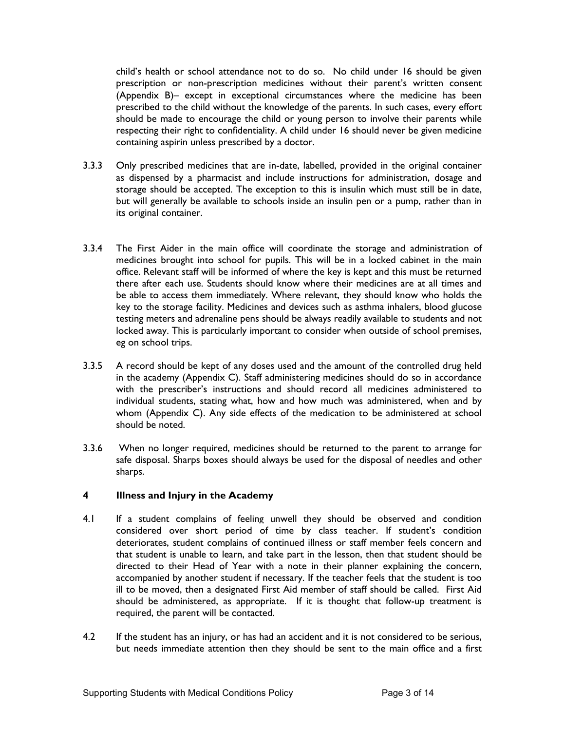child's health or school attendance not to do so. No child under 16 should be given prescription or non-prescription medicines without their parent's written consent (Appendix B)– except in exceptional circumstances where the medicine has been prescribed to the child without the knowledge of the parents. In such cases, every effort should be made to encourage the child or young person to involve their parents while respecting their right to confidentiality. A child under 16 should never be given medicine containing aspirin unless prescribed by a doctor.

- 3.3.3 Only prescribed medicines that are in-date, labelled, provided in the original container as dispensed by a pharmacist and include instructions for administration, dosage and storage should be accepted. The exception to this is insulin which must still be in date, but will generally be available to schools inside an insulin pen or a pump, rather than in its original container.
- 3.3.4 The First Aider in the main office will coordinate the storage and administration of medicines brought into school for pupils. This will be in a locked cabinet in the main office. Relevant staff will be informed of where the key is kept and this must be returned there after each use. Students should know where their medicines are at all times and be able to access them immediately. Where relevant, they should know who holds the key to the storage facility. Medicines and devices such as asthma inhalers, blood glucose testing meters and adrenaline pens should be always readily available to students and not locked away. This is particularly important to consider when outside of school premises, eg on school trips.
- 3.3.5 A record should be kept of any doses used and the amount of the controlled drug held in the academy (Appendix C). Staff administering medicines should do so in accordance with the prescriber's instructions and should record all medicines administered to individual students, stating what, how and how much was administered, when and by whom (Appendix C). Any side effects of the medication to be administered at school should be noted.
- 3.3.6 When no longer required, medicines should be returned to the parent to arrange for safe disposal. Sharps boxes should always be used for the disposal of needles and other sharps.

## **4 Illness and Injury in the Academy**

- 4.1 If a student complains of feeling unwell they should be observed and condition considered over short period of time by class teacher. If student's condition deteriorates, student complains of continued illness or staff member feels concern and that student is unable to learn, and take part in the lesson, then that student should be directed to their Head of Year with a note in their planner explaining the concern, accompanied by another student if necessary. If the teacher feels that the student is too ill to be moved, then a designated First Aid member of staff should be called. First Aid should be administered, as appropriate. If it is thought that follow-up treatment is required, the parent will be contacted.
- 4.2 If the student has an injury, or has had an accident and it is not considered to be serious, but needs immediate attention then they should be sent to the main office and a first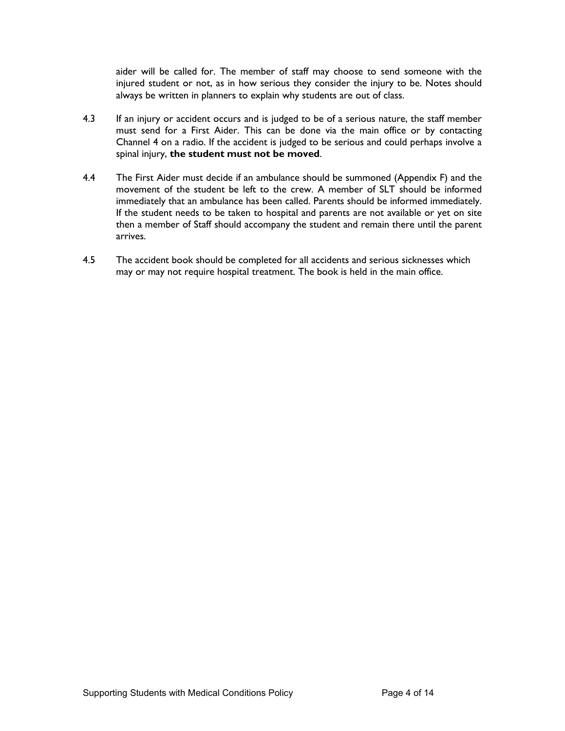aider will be called for. The member of staff may choose to send someone with the injured student or not, as in how serious they consider the injury to be. Notes should always be written in planners to explain why students are out of class.

- 4.3 If an injury or accident occurs and is judged to be of a serious nature, the staff member must send for a First Aider. This can be done via the main office or by contacting Channel 4 on a radio. If the accident is judged to be serious and could perhaps involve a spinal injury, **the student must not be moved**.
- 4.4 The First Aider must decide if an ambulance should be summoned (Appendix F) and the movement of the student be left to the crew. A member of SLT should be informed immediately that an ambulance has been called. Parents should be informed immediately. If the student needs to be taken to hospital and parents are not available or yet on site then a member of Staff should accompany the student and remain there until the parent arrives.
- 4.5 The accident book should be completed for all accidents and serious sicknesses which may or may not require hospital treatment. The book is held in the main office.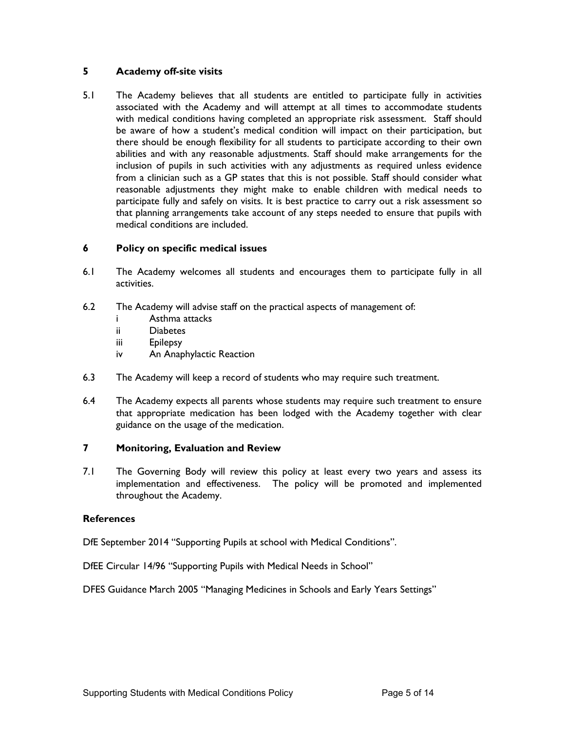## **5 Academy off-site visits**

5.1 The Academy believes that all students are entitled to participate fully in activities associated with the Academy and will attempt at all times to accommodate students with medical conditions having completed an appropriate risk assessment. Staff should be aware of how a student's medical condition will impact on their participation, but there should be enough flexibility for all students to participate according to their own abilities and with any reasonable adjustments. Staff should make arrangements for the inclusion of pupils in such activities with any adjustments as required unless evidence from a clinician such as a GP states that this is not possible. Staff should consider what reasonable adjustments they might make to enable children with medical needs to participate fully and safely on visits. It is best practice to carry out a risk assessment so that planning arrangements take account of any steps needed to ensure that pupils with medical conditions are included.

## **6 Policy on specific medical issues**

- 6.1 The Academy welcomes all students and encourages them to participate fully in all activities.
- 6.2 The Academy will advise staff on the practical aspects of management of:
	- i Asthma attacks
	- ii Diabetes
	- iii Epilepsy
	- iv An Anaphylactic Reaction
- 6.3 The Academy will keep a record of students who may require such treatment.
- 6.4 The Academy expects all parents whose students may require such treatment to ensure that appropriate medication has been lodged with the Academy together with clear guidance on the usage of the medication.

## **7 Monitoring, Evaluation and Review**

7.1 The Governing Body will review this policy at least every two years and assess its implementation and effectiveness. The policy will be promoted and implemented throughout the Academy.

#### **References**

DfE September 2014 "Supporting Pupils at school with Medical Conditions".

DfEE Circular 14/96 "Supporting Pupils with Medical Needs in School"

DFES Guidance March 2005 "Managing Medicines in Schools and Early Years Settings"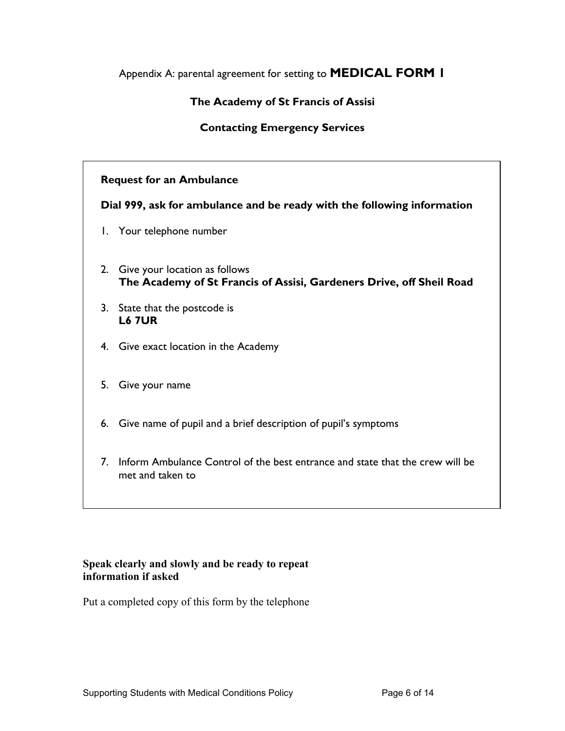# Appendix A: parental agreement for setting to **MEDICAL FORM 1**

# **The Academy of St Francis of Assisi**

## **Contacting Emergency Services**

## **Request for an Ambulance**

**Dial 999, ask for ambulance and be ready with the following information**

- 1. Your telephone number
- 2. Give your location as follows **The Academy of St Francis of Assisi, Gardeners Drive, off Sheil Road**
- 3. State that the postcode is **L6 7UR**
- 4. Give exact location in the Academy
- 5. Give your name
- 6. Give name of pupil and a brief description of pupil's symptoms
- 7. Inform Ambulance Control of the best entrance and state that the crew will be met and taken to

## **Speak clearly and slowly and be ready to repeat information if asked**

Put a completed copy of this form by the telephone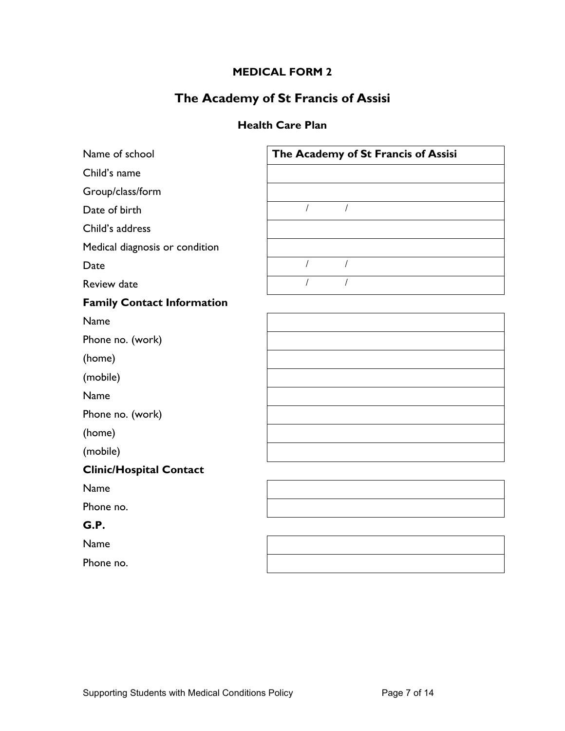# **MEDICAL FORM 2**

# **The Academy of St Francis of Assisi**

# **Health Care Plan**

| Name of school                    | The Academy of St Francis of Assisi |
|-----------------------------------|-------------------------------------|
| Child's name                      |                                     |
| Group/class/form                  |                                     |
| Date of birth                     | $\overline{1}$                      |
| Child's address                   |                                     |
| Medical diagnosis or condition    |                                     |
| Date                              | $\overline{1}$<br>$\prime$          |
| <b>Review date</b>                | $\overline{I}$                      |
| <b>Family Contact Information</b> |                                     |
| Name                              |                                     |
| Phone no. (work)                  |                                     |
| (home)                            |                                     |
| (mobile)                          |                                     |
| Name                              |                                     |
| Phone no. (work)                  |                                     |
| (home)                            |                                     |
| (mobile)                          |                                     |
| <b>Clinic/Hospital Contact</b>    |                                     |
| Name                              |                                     |
| Phone no.                         |                                     |
| G.P.                              |                                     |
| Name                              |                                     |
| Phone no.                         |                                     |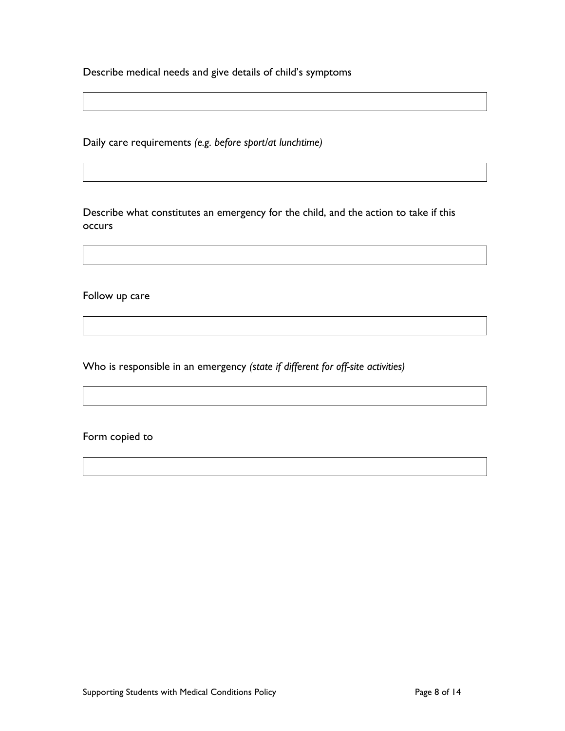Describe medical needs and give details of child's symptoms

Daily care requirements *(e.g. before sport/at lunchtime)*

Describe what constitutes an emergency for the child, and the action to take if this occurs

Follow up care

Who is responsible in an emergency *(state if different for off-site activities)*

Form copied to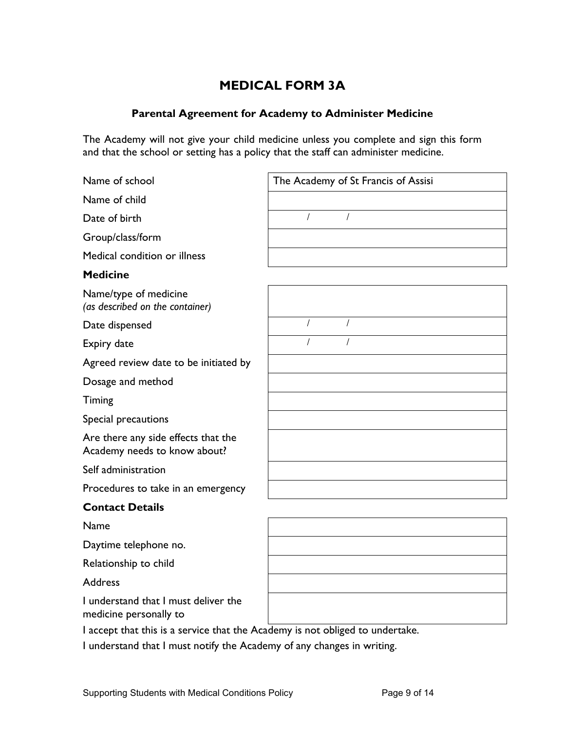# **MEDICAL FORM 3A**

## **Parental Agreement for Academy to Administer Medicine**

The Academy will not give your child medicine unless you complete and sign this form and that the school or setting has a policy that the staff can administer medicine.

Name of child

Date of birth

Group/class/form

Medical condition or illness

## **Medicine**

Name/type of medicine *(as described on the container)*

Date dispensed

Expiry date

Agreed review date to be initiated by

Dosage and method

Timing

Special precautions

Are there any side effects that the Academy needs to know about?

Self administration

Procedures to take in an emergency

## **Contact Details**

Name

Daytime telephone no.

Relationship to child

Address

I understand that I must deliver the medicine personally to

I accept that this is a service that the Academy is not obliged to undertake.

I understand that I must notify the Academy of any changes in writing.

Name of school **Name of school** The Academy of St Francis of Assisi

 $\sqrt{ }$ 

 $\sqrt{ }$ 

 $\overline{1}$  $\sqrt{ }$  $\overline{1}$  $\overline{1}$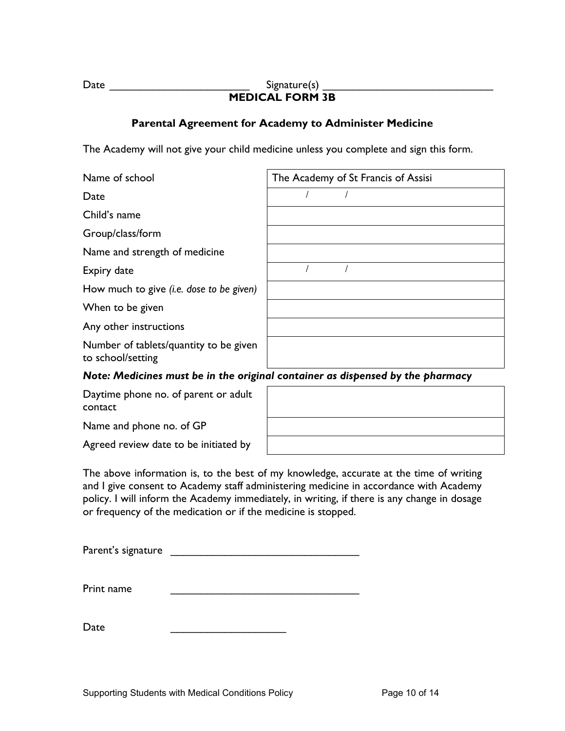#### Date \_\_\_\_\_\_\_\_\_\_\_\_\_\_\_\_\_\_\_\_\_\_\_ Signature(s) \_\_\_\_\_\_\_\_\_\_\_\_\_\_\_\_\_\_\_\_\_\_\_\_\_\_\_\_ **MEDICAL FORM 3B**

## **Parental Agreement for Academy to Administer Medicine**

The Academy will not give your child medicine unless you complete and sign this form.

| Name of school                                                                 | The Academy of St Francis of Assisi |  |  |  |
|--------------------------------------------------------------------------------|-------------------------------------|--|--|--|
| Date                                                                           |                                     |  |  |  |
| Child's name                                                                   |                                     |  |  |  |
| Group/class/form                                                               |                                     |  |  |  |
| Name and strength of medicine                                                  |                                     |  |  |  |
| Expiry date                                                                    |                                     |  |  |  |
| How much to give (i.e. dose to be given)                                       |                                     |  |  |  |
| When to be given                                                               |                                     |  |  |  |
| Any other instructions                                                         |                                     |  |  |  |
| Number of tablets/quantity to be given<br>to school/setting                    |                                     |  |  |  |
| Note: Medicines must be in the original container as dispensed by the pharmacy |                                     |  |  |  |
| Daytime phone no. of parent or adult<br>contact                                |                                     |  |  |  |

Name and phone no. of GP

Agreed review date to be initiated by

The above information is, to the best of my knowledge, accurate at the time of writing and I give consent to Academy staff administering medicine in accordance with Academy policy. I will inform the Academy immediately, in writing, if there is any change in dosage or frequency of the medication or if the medicine is stopped.

| Parent's signature |  |
|--------------------|--|
|                    |  |

| Print name |  |
|------------|--|
|            |  |

Date \_\_\_\_\_\_\_\_\_\_\_\_\_\_\_\_\_\_\_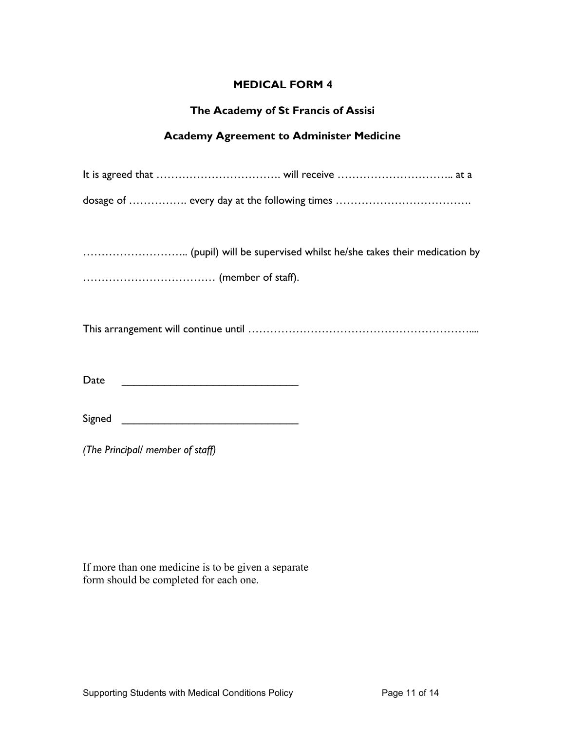## **MEDICAL FORM 4**

## **The Academy of St Francis of Assisi**

# **Academy Agreement to Administer Medicine**

| Date   |
|--------|
| Signed |

*(The Principal/ member of staff)*

If more than one medicine is to be given a separate form should be completed for each one.